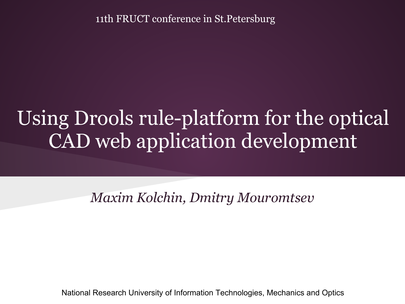11th FRUCT conference in St.Petersburg

#### Using Drools rule-platform for the optical CAD web application development

*Maxim Kolchin, Dmitry Mouromtsev*

National Research University of Information Technologies, Mechanics and Optics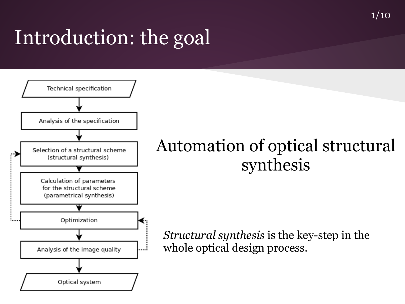#### $1/10$

#### Introduction: the goal



#### Automation of optical structural synthesis

*Structural synthesis* is the key-step in the whole optical design process.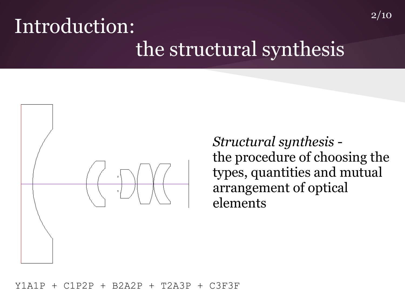#### Introduction: the structural synthesis



*Structural synthesis* the procedure of choosing the types, quantities and mutual arrangement of optical elements

2/10

#### Y1A1P + C1P2P + B2A2P + T2A3P + C3F3F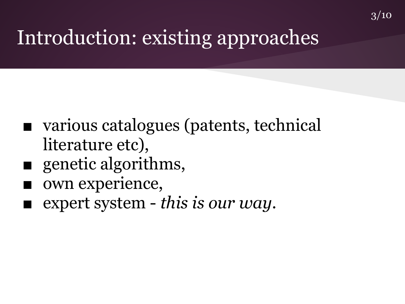## Introduction: existing approaches

- various catalogues (patents, technical literature etc),
- genetic algorithms,
- own experience,
- expert system *this is our way*.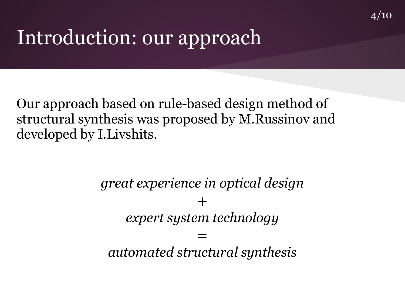#### Introduction: our approach

Our approach based on rule-based design method of structural synthesis was proposed by M.Russinov and developed by I.Livshits.

> *great experience in optical design*  $+$ *expert system technology* = *automated structural synthesis*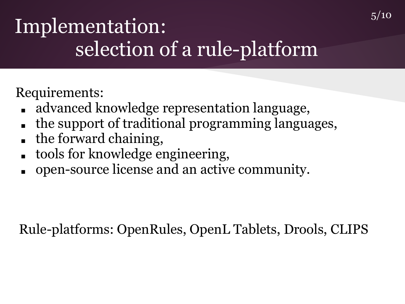### Implementation: selection of a rule-platform

Requirements:

- advanced knowledge representation language,
- the support of traditional programming languages,
- the forward chaining,
- tools for knowledge engineering,
- open-source license and an active community.

Rule-platforms: OpenRules, OpenL Tablets, Drools, CLIPS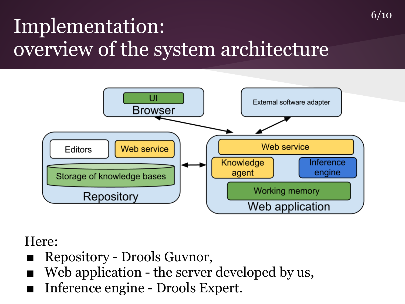### Implementation: overview of the system architecture



6/10

#### Here:

- Repository Drools Guvnor,
- Web application the server developed by us,
- Inference engine Drools Expert.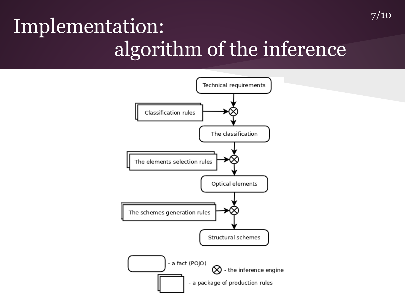#### Implementation: algorithm of the inference

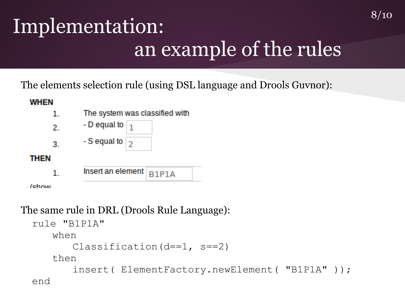## Implementation: an example of the rules

8/10

The elements selection rule (using DSL language and Drools Guvnor):



The same rule in DRL (Drools Rule Language):

```
rule "B1P1A"
   when
      Classification(d==1, s==2)
   then
        insert( ElementFactory.newElement( "B1P1A" ));
end
```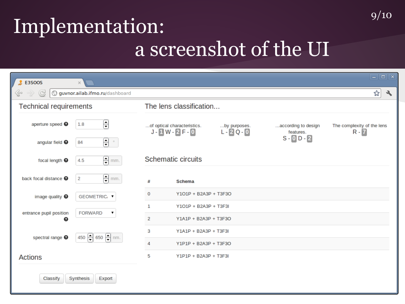#### Implementation: a screenshot of the UI

| $$$ E3SOOS                       | $\times$                          |                                                                                                                        | $\Box$ o $\mathbf{x}$                 |
|----------------------------------|-----------------------------------|------------------------------------------------------------------------------------------------------------------------|---------------------------------------|
| ⊗<br>G<br>$\circ \circ \rangle$  | guvnor.ailab.ifmo.ru/dashboard    |                                                                                                                        | ☆<br>٩                                |
| <b>Technical requirements</b>    |                                   | The lens classification                                                                                                |                                       |
| aperture speed <sup>O</sup>      | ⊟<br>1.8                          | of optical characteristics.<br>according to design<br>by purposes.<br>$J - 1 W - 2 F - 0$<br>$L - 2Q - 0$<br>features. | The complexity of the lens<br>$R - 7$ |
| angular field <sup>O</sup>       | 음 *<br>84                         | $S - 0 D - 2$                                                                                                          |                                       |
| focal length <sup>O</sup>        | $\bigoplus$ mm.<br>4.5            | Schematic circuits                                                                                                     |                                       |
| back focal distance <sup>O</sup> | $\bigoplus$ mm.<br>$\overline{2}$ | #<br><b>Schema</b>                                                                                                     |                                       |
| image quality $\bullet$          | GEOMETRIC⊢ ▼                      | 0<br>Y101P + B2A3P + T3F3O                                                                                             |                                       |
| entrance pupil position<br>๏     | <b>FORWARD</b><br>▼               | $\mathbf{1}$<br>Y101P + B2A3P + T3F3I                                                                                  |                                       |
|                                  |                                   | 2<br>Y1A1P + B2A3P + T3F3O                                                                                             |                                       |
| spectral range <sup>O</sup>      | 450 $-$ 650 $-$ nm.               | 3<br>Y1A1P + B2A3P + T3F3I                                                                                             |                                       |
|                                  |                                   | Y1P1P + B2A3P + T3F3O<br>4                                                                                             |                                       |
| <b>Actions</b>                   |                                   | 5<br>Y1P1P + B2A3P + T3F3I                                                                                             |                                       |
| Classify<br>Synthesis<br>Export  |                                   |                                                                                                                        |                                       |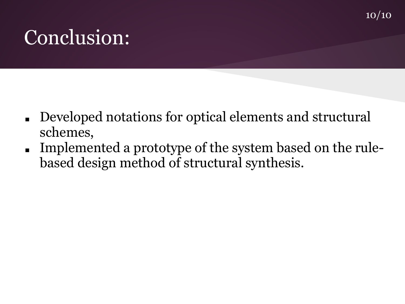#### Conclusion:

- Developed notations for optical elements and structural schemes,
- Implemented a prototype of the system based on the rulebased design method of structural synthesis.